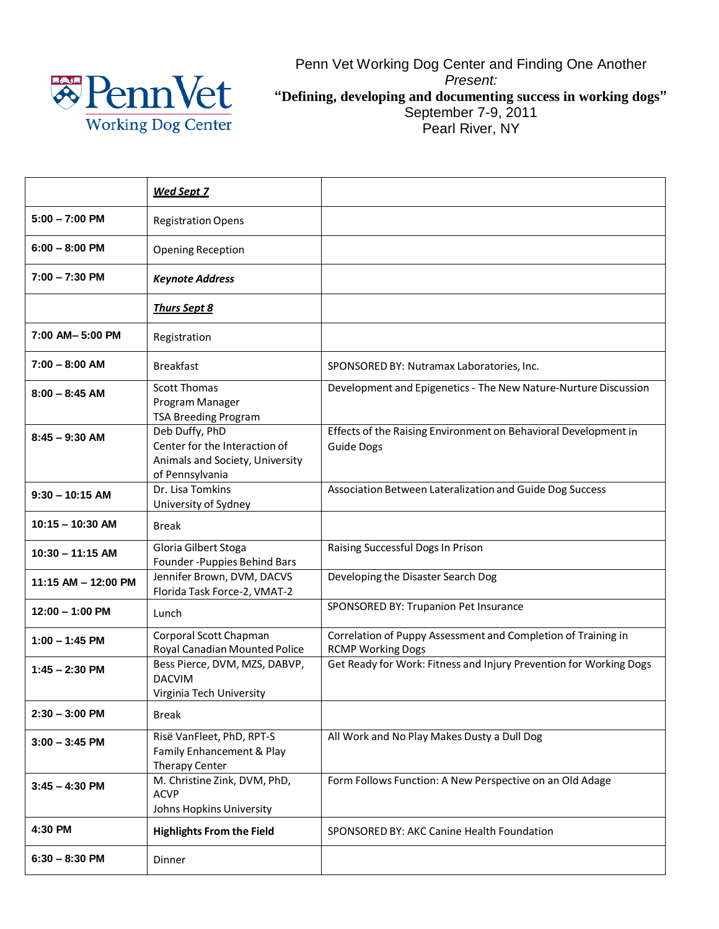

Penn Vet Working Dog Center and Finding One Another *Present:* **"Defining, developing and documenting success in working dogs"** September 7-9, 2011 Pearl River, NY

|                     | <u>Wed Sept 7</u>                                                                                     |                                                                                           |
|---------------------|-------------------------------------------------------------------------------------------------------|-------------------------------------------------------------------------------------------|
| $5:00 - 7:00$ PM    | <b>Registration Opens</b>                                                                             |                                                                                           |
| $6:00 - 8:00$ PM    | <b>Opening Reception</b>                                                                              |                                                                                           |
| $7:00 - 7:30$ PM    | <b>Keynote Address</b>                                                                                |                                                                                           |
|                     | <b>Thurs Sept 8</b>                                                                                   |                                                                                           |
| 7:00 AM-5:00 PM     | Registration                                                                                          |                                                                                           |
| $7:00 - 8:00$ AM    | <b>Breakfast</b>                                                                                      | SPONSORED BY: Nutramax Laboratories, Inc.                                                 |
| $8:00 - 8:45$ AM    | <b>Scott Thomas</b><br>Program Manager<br>TSA Breeding Program                                        | Development and Epigenetics - The New Nature-Nurture Discussion                           |
| $8:45 - 9:30$ AM    | Deb Duffy, PhD<br>Center for the Interaction of<br>Animals and Society, University<br>of Pennsylvania | Effects of the Raising Environment on Behavioral Development in<br><b>Guide Dogs</b>      |
| $9:30 - 10:15$ AM   | Dr. Lisa Tomkins<br>University of Sydney                                                              | Association Between Lateralization and Guide Dog Success                                  |
| $10:15 - 10:30$ AM  | <b>Break</b>                                                                                          |                                                                                           |
| $10:30 - 11:15$ AM  | Gloria Gilbert Stoga<br>Founder - Puppies Behind Bars                                                 | Raising Successful Dogs In Prison                                                         |
| 11:15 AM - 12:00 PM | Jennifer Brown, DVM, DACVS<br>Florida Task Force-2, VMAT-2                                            | Developing the Disaster Search Dog                                                        |
| $12:00 - 1:00$ PM   | Lunch                                                                                                 | SPONSORED BY: Trupanion Pet Insurance                                                     |
| $1:00 - 1:45$ PM    | Corporal Scott Chapman<br>Royal Canadian Mounted Police                                               | Correlation of Puppy Assessment and Completion of Training in<br><b>RCMP Working Dogs</b> |
| $1:45 - 2:30$ PM    | Bess Pierce, DVM, MZS, DABVP,<br><b>DACVIM</b><br>Virginia Tech University                            | Get Ready for Work: Fitness and Injury Prevention for Working Dogs                        |
| $2:30 - 3:00$ PM    | <b>Break</b>                                                                                          |                                                                                           |
| $3:00 - 3:45$ PM    | Risë VanFleet, PhD, RPT-S<br>Family Enhancement & Play<br>Therapy Center                              | All Work and No Play Makes Dusty a Dull Dog                                               |
| $3:45 - 4:30$ PM    | M. Christine Zink, DVM, PhD,<br><b>ACVP</b><br>Johns Hopkins University                               | Form Follows Function: A New Perspective on an Old Adage                                  |
| 4:30 PM             | <b>Highlights From the Field</b>                                                                      | SPONSORED BY: AKC Canine Health Foundation                                                |
| $6:30 - 8:30$ PM    | Dinner                                                                                                |                                                                                           |